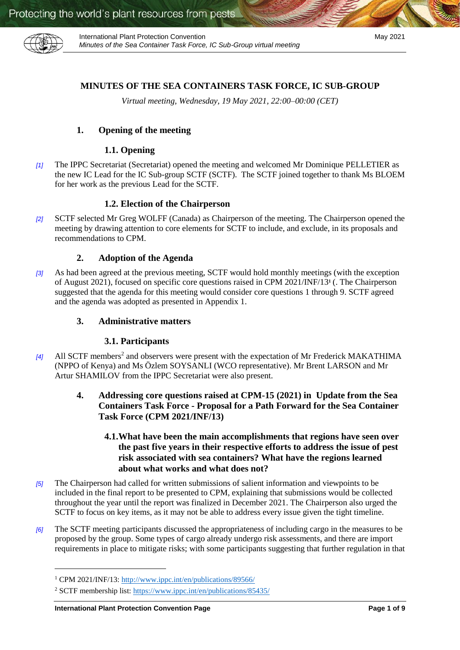

International Plant Protection Convention May 2021 *Minutes of the Sea Container Task Force, IC Sub-Group virtual meeting* 

# **MINUTES OF THE SEA CONTAINERS TASK FORCE, IC SUB-GROUP**

*Virtual meeting, Wednesday, 19 May 2021, 22:00–00:00 (CET)*

## **1. Opening of the meeting**

#### **1.1. Opening**

*[1]* The IPPC Secretariat (Secretariat) opened the meeting and welcomed Mr Dominique PELLETIER as the new IC Lead for the IC Sub-group SCTF (SCTF). The SCTF joined together to thank Ms BLOEM for her work as the previous Lead for the SCTF.

#### **1.2. Election of the Chairperson**

*[2]* SCTF selected Mr Greg WOLFF (Canada) as Chairperson of the meeting. The Chairperson opened the meeting by drawing attention to core elements for SCTF to include, and exclude, in its proposals and recommendations to CPM.

#### **2. Adoption of the Agenda**

*[3]* As had been agreed at the previous meeting, SCTF would hold monthly meetings (with the exception of August 2021), focused on specific core questions raised in CPM 2021/INF/13**<sup>1</sup>** (. The Chairperson suggested that the agenda for this meeting would consider core questions 1 through 9. SCTF agreed and the agenda was adopted as presented in Appendix 1.

### **3. Administrative matters**

#### **3.1. Participants**

- [4] All SCTF members<sup>2</sup> and observers were present with the expectation of Mr Frederick MAKATHIMA (NPPO of Kenya) and Ms Özlem SOYSANLI (WCO representative). Mr Brent LARSON and Mr Artur SHAMILOV from the IPPC Secretariat were also present.
	- **4. Addressing core questions raised at CPM-15 (2021) in Update from the Sea Containers Task Force - Proposal for a Path Forward for the Sea Container Task Force (CPM 2021/INF/13)**

## **4.1.What have been the main accomplishments that regions have seen over the past five years in their respective efforts to address the issue of pest risk associated with sea containers? What have the regions learned about what works and what does not?**

- *[5]* The Chairperson had called for written submissions of salient information and viewpoints to be included in the final report to be presented to CPM, explaining that submissions would be collected throughout the year until the report was finalized in December 2021. The Chairperson also urged the SCTF to focus on key items, as it may not be able to address every issue given the tight timeline.
- *[6]* The SCTF meeting participants discussed the appropriateness of including cargo in the measures to be proposed by the group. Some types of cargo already undergo risk assessments, and there are import requirements in place to mitigate risks; with some participants suggesting that further regulation in that

l

<sup>&</sup>lt;sup>1</sup> CPM 2021/INF/13:<http://www.ippc.int/en/publications/89566/>

<sup>2</sup> SCTF membership list:<https://www.ippc.int/en/publications/85435/>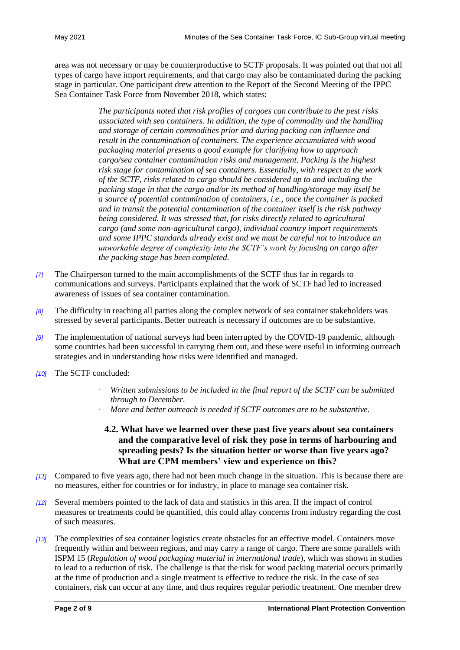area was not necessary or may be counterproductive to SCTF proposals. It was pointed out that not all types of cargo have import requirements, and that cargo may also be contaminated during the packing stage in particular. One participant drew attention to the Report of the Second Meeting of the IPPC Sea Container Task Force from November 2018, which states:

> *The participants noted that risk profiles of cargoes can contribute to the pest risks associated with sea containers. In addition, the type of commodity and the handling and storage of certain commodities prior and during packing can influence and result in the contamination of containers. The experience accumulated with wood packaging material presents a good example for clarifying how to approach cargo/sea container contamination risks and management. Packing is the highest risk stage for contamination of sea containers. Essentially, with respect to the work of the SCTF, risks related to cargo should be considered up to and including the packing stage in that the cargo and/or its method of handling/storage may itself be a source of potential contamination of containers, i.e., once the container is packed and in transit the potential contamination of the container itself is the risk pathway being considered. It was stressed that, for risks directly related to agricultural cargo (and some non-agricultural cargo), individual country import requirements and some IPPC standards already exist and we must be careful not to introduce an unworkable degree of complexity into the SCTF's work by focusing on cargo after the packing stage has been completed.*

- *[7]* The Chairperson turned to the main accomplishments of the SCTF thus far in regards to communications and surveys. Participants explained that the work of SCTF had led to increased awareness of issues of sea container contamination.
- *[8]* The difficulty in reaching all parties along the complex network of sea container stakeholders was stressed by several participants. Better outreach is necessary if outcomes are to be substantive.
- *[9]* The implementation of national surveys had been interrupted by the COVID-19 pandemic, although some countries had been successful in carrying them out, and these were useful in informing outreach strategies and in understanding how risks were identified and managed.
- *[10]* The SCTF concluded:
	- Written submissions to be included in the final report of the SCTF can be submitted *through to December.*
	- · *More and better outreach is needed if SCTF outcomes are to be substantive.*

# **4.2. What have we learned over these past five years about sea containers and the comparative level of risk they pose in terms of harbouring and spreading pests? Is the situation better or worse than five years ago? What are CPM members' view and experience on this?**

- *[11]* Compared to five years ago, there had not been much change in the situation. This is because there are no measures, either for countries or for industry, in place to manage sea container risk.
- *[12]* Several members pointed to the lack of data and statistics in this area. If the impact of control measures or treatments could be quantified, this could allay concerns from industry regarding the cost of such measures.
- *[13]* The complexities of sea container logistics create obstacles for an effective model. Containers move frequently within and between regions, and may carry a range of cargo. There are some parallels with ISPM 15 (*Regulation of wood packaging material in international trade*), which was shown in studies to lead to a reduction of risk. The challenge is that the risk for wood packing material occurs primarily at the time of production and a single treatment is effective to reduce the risk. In the case of sea containers, risk can occur at any time, and thus requires regular periodic treatment. One member drew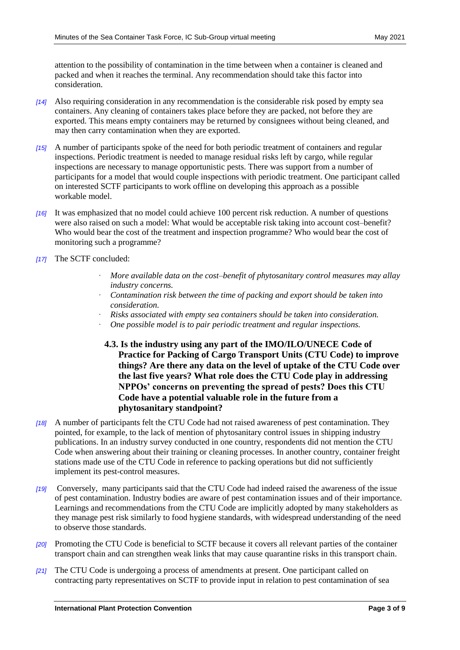attention to the possibility of contamination in the time between when a container is cleaned and packed and when it reaches the terminal. Any recommendation should take this factor into consideration.

- *[14]* Also requiring consideration in any recommendation is the considerable risk posed by empty sea containers. Any cleaning of containers takes place before they are packed, not before they are exported. This means empty containers may be returned by consignees without being cleaned, and may then carry contamination when they are exported.
- *[15]* A number of participants spoke of the need for both periodic treatment of containers and regular inspections. Periodic treatment is needed to manage residual risks left by cargo, while regular inspections are necessary to manage opportunistic pests. There was support from a number of participants for a model that would couple inspections with periodic treatment. One participant called on interested SCTF participants to work offline on developing this approach as a possible workable model.
- *[16]* It was emphasized that no model could achieve 100 percent risk reduction. A number of questions were also raised on such a model: What would be acceptable risk taking into account cost–benefit? Who would bear the cost of the treatment and inspection programme? Who would bear the cost of monitoring such a programme?
- *[17]* The SCTF concluded:
	- · *More available data on the cost–benefit of phytosanitary control measures may allay industry concerns.*
	- · *Contamination risk between the time of packing and export should be taken into consideration.*
	- · *Risks associated with empty sea containers should be taken into consideration.*
	- · *One possible model is to pair periodic treatment and regular inspections.*
	- **4.3. Is the industry using any part of the IMO/ILO/UNECE Code of Practice for Packing of Cargo Transport Units (CTU Code) to improve things? Are there any data on the level of uptake of the CTU Code over the last five years? What role does the CTU Code play in addressing NPPOs' concerns on preventing the spread of pests? Does this CTU Code have a potential valuable role in the future from a phytosanitary standpoint?**
- *[18]* A number of participants felt the CTU Code had not raised awareness of pest contamination. They pointed, for example, to the lack of mention of phytosanitary control issues in shipping industry publications. In an industry survey conducted in one country, respondents did not mention the CTU Code when answering about their training or cleaning processes. In another country, container freight stations made use of the CTU Code in reference to packing operations but did not sufficiently implement its pest-control measures.
- *[19]* Conversely, many participants said that the CTU Code had indeed raised the awareness of the issue of pest contamination. Industry bodies are aware of pest contamination issues and of their importance. Learnings and recommendations from the CTU Code are implicitly adopted by many stakeholders as they manage pest risk similarly to food hygiene standards, with widespread understanding of the need to observe those standards.
- *[20]* Promoting the CTU Code is beneficial to SCTF because it covers all relevant parties of the container transport chain and can strengthen weak links that may cause quarantine risks in this transport chain.
- *[21]* The CTU Code is undergoing a process of amendments at present. One participant called on contracting party representatives on SCTF to provide input in relation to pest contamination of sea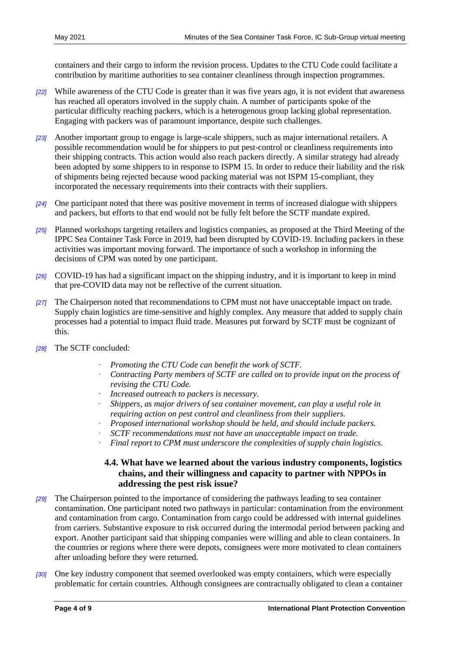containers and their cargo to inform the revision process. Updates to the CTU Code could facilitate a contribution by maritime authorities to sea container cleanliness through inspection programmes.

- *[22]* While awareness of the CTU Code is greater than it was five years ago, it is not evident that awareness has reached all operators involved in the supply chain. A number of participants spoke of the particular difficulty reaching packers, which is a heterogenous group lacking global representation. Engaging with packers was of paramount importance, despite such challenges.
- *[23]* Another important group to engage is large-scale shippers, such as major international retailers. A possible recommendation would be for shippers to put pest-control or cleanliness requirements into their shipping contracts. This action would also reach packers directly. A similar strategy had already been adopted by some shippers to in response to ISPM 15. In order to reduce their liability and the risk of shipments being rejected because wood packing material was not ISPM 15-compliant, they incorporated the necessary requirements into their contracts with their suppliers.
- *[24]* One participant noted that there was positive movement in terms of increased dialogue with shippers and packers, but efforts to that end would not be fully felt before the SCTF mandate expired.
- *[25]* Planned workshops targeting retailers and logistics companies, as proposed at the Third Meeting of the IPPC Sea Container Task Force in 2019, had been disrupted by COVID-19. Including packers in these activities was important moving forward. The importance of such a workshop in informing the decisions of CPM was noted by one participant.
- *[26]* COVID-19 has had a significant impact on the shipping industry, and it is important to keep in mind that pre-COVID data may not be reflective of the current situation.
- *[27]* The Chairperson noted that recommendations to CPM must not have unacceptable impact on trade. Supply chain logistics are time-sensitive and highly complex. Any measure that added to supply chain processes had a potential to impact fluid trade. Measures put forward by SCTF must be cognizant of this.
- *[28]* The SCTF concluded:
	- · *Promoting the CTU Code can benefit the work of SCTF.*
	- · *Contracting Party members of SCTF are called on to provide input on the process of revising the CTU Code.*
	- · *Increased outreach to packers is necessary.*
	- · *Shippers, as major drivers of sea container movement, can play a useful role in requiring action on pest control and cleanliness from their suppliers.*
	- · *Proposed international workshop should be held, and should include packers.*
	- · *SCTF recommendations must not have an unacceptable impact on trade.*
	- · *Final report to CPM must underscore the complexities of supply chain logistics.*

# **4.4. What have we learned about the various industry components, logistics chains, and their willingness and capacity to partner with NPPOs in addressing the pest risk issue?**

- *[29]* The Chairperson pointed to the importance of considering the pathways leading to sea container contamination. One participant noted two pathways in particular: contamination from the environment and contamination from cargo. Contamination from cargo could be addressed with internal guidelines from carriers. Substantive exposure to risk occurred during the intermodal period between packing and export. Another participant said that shipping companies were willing and able to clean containers. In the countries or regions where there were depots, consignees were more motivated to clean containers after unloading before they were returned.
- *[30]* One key industry component that seemed overlooked was empty containers, which were especially problematic for certain countries. Although consignees are contractually obligated to clean a container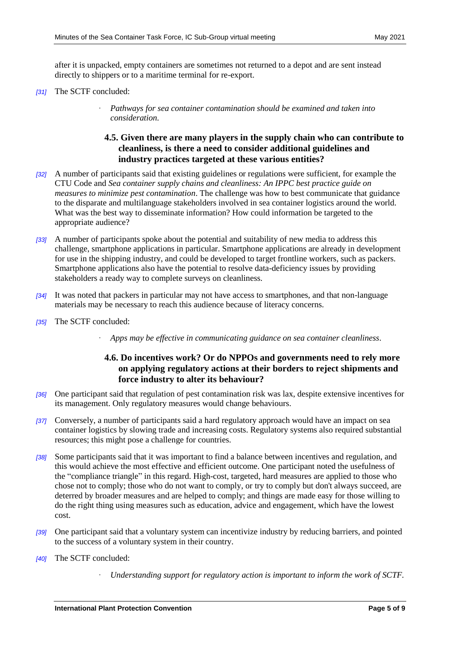after it is unpacked, empty containers are sometimes not returned to a depot and are sent instead directly to shippers or to a maritime terminal for re-export.

- *[31]* The SCTF concluded:
	- · *Pathways for sea container contamination should be examined and taken into consideration.*

# **4.5. Given there are many players in the supply chain who can contribute to cleanliness, is there a need to consider additional guidelines and industry practices targeted at these various entities?**

- *[32]* A number of participants said that existing guidelines or regulations were sufficient, for example the CTU Code and *Sea container supply chains and cleanliness: An IPPC best practice guide on measures to minimize pest contamination*. The challenge was how to best communicate that guidance to the disparate and multilanguage stakeholders involved in sea container logistics around the world. What was the best way to disseminate information? How could information be targeted to the appropriate audience?
- *[33]* A number of participants spoke about the potential and suitability of new media to address this challenge, smartphone applications in particular. Smartphone applications are already in development for use in the shipping industry, and could be developed to target frontline workers, such as packers. Smartphone applications also have the potential to resolve data-deficiency issues by providing stakeholders a ready way to complete surveys on cleanliness.
- *[34]* It was noted that packers in particular may not have access to smartphones, and that non-language materials may be necessary to reach this audience because of literacy concerns.
- *[35]* The SCTF concluded:
	- · *Apps may be effective in communicating guidance on sea container cleanliness.*

## **4.6. Do incentives work? Or do NPPOs and governments need to rely more on applying regulatory actions at their borders to reject shipments and force industry to alter its behaviour?**

- *[36]* One participant said that regulation of pest contamination risk was lax, despite extensive incentives for its management. Only regulatory measures would change behaviours.
- *[37]* Conversely, a number of participants said a hard regulatory approach would have an impact on sea container logistics by slowing trade and increasing costs. Regulatory systems also required substantial resources; this might pose a challenge for countries.
- *[38]* Some participants said that it was important to find a balance between incentives and regulation, and this would achieve the most effective and efficient outcome. One participant noted the usefulness of the "compliance triangle" in this regard. High-cost, targeted, hard measures are applied to those who chose not to comply; those who do not want to comply, or try to comply but don't always succeed, are deterred by broader measures and are helped to comply; and things are made easy for those willing to do the right thing using measures such as education, advice and engagement, which have the lowest cost.
- *[39]* One participant said that a voluntary system can incentivize industry by reducing barriers, and pointed to the success of a voluntary system in their country.
- *[40]* The SCTF concluded:
	- · *Understanding support for regulatory action is important to inform the work of SCTF.*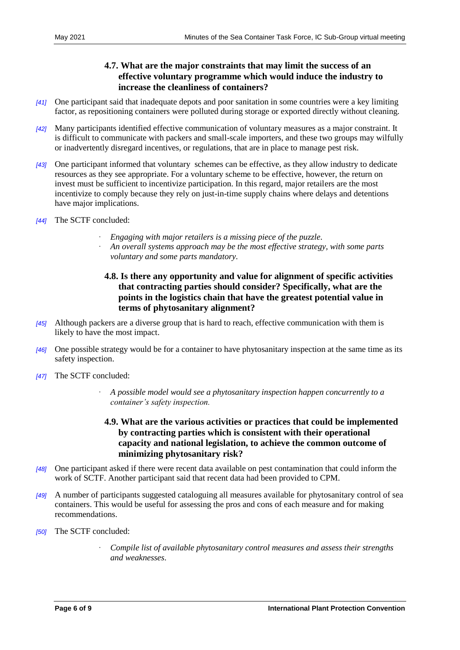# **4.7. What are the major constraints that may limit the success of an effective voluntary programme which would induce the industry to increase the cleanliness of containers?**

- *[41]* One participant said that inadequate depots and poor sanitation in some countries were a key limiting factor, as repositioning containers were polluted during storage or exported directly without cleaning.
- *[42]* Many participants identified effective communication of voluntary measures as a major constraint. It is difficult to communicate with packers and small-scale importers, and these two groups may wilfully or inadvertently disregard incentives, or regulations, that are in place to manage pest risk.
- *[43]* One participant informed that voluntary schemes can be effective, as they allow industry to dedicate resources as they see appropriate. For a voluntary scheme to be effective, however, the return on invest must be sufficient to incentivize participation. In this regard, major retailers are the most incentivize to comply because they rely on just-in-time supply chains where delays and detentions have major implications.
- *[44]* The SCTF concluded:
	- · *Engaging with major retailers is a missing piece of the puzzle.*
	- · *An overall systems approach may be the most effective strategy, with some parts voluntary and some parts mandatory.*

# **4.8. Is there any opportunity and value for alignment of specific activities that contracting parties should consider? Specifically, what are the points in the logistics chain that have the greatest potential value in terms of phytosanitary alignment?**

- *[45]* Although packers are a diverse group that is hard to reach, effective communication with them is likely to have the most impact.
- *[46]* One possible strategy would be for a container to have phytosanitary inspection at the same time as its safety inspection.
- *[47]* The SCTF concluded:
	- · *A possible model would see a phytosanitary inspection happen concurrently to a container's safety inspection.*

# **4.9. What are the various activities or practices that could be implemented by contracting parties which is consistent with their operational capacity and national legislation, to achieve the common outcome of minimizing phytosanitary risk?**

- *[48]* One participant asked if there were recent data available on pest contamination that could inform the work of SCTF. Another participant said that recent data had been provided to CPM.
- *[49]* A number of participants suggested cataloguing all measures available for phytosanitary control of sea containers. This would be useful for assessing the pros and cons of each measure and for making recommendations.
- *[50]* The SCTF concluded:
	- · *Compile list of available phytosanitary control measures and assess their strengths and weaknesses.*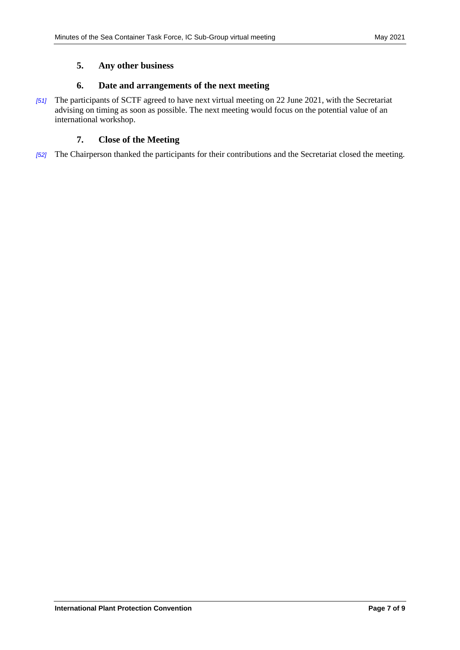## **5. Any other business**

# **6. Date and arrangements of the next meeting**

*[51]* The participants of SCTF agreed to have next virtual meeting on 22 June 2021, with the Secretariat advising on timing as soon as possible. The next meeting would focus on the potential value of an international workshop.

# **7. Close of the Meeting**

*[52]* The Chairperson thanked the participants for their contributions and the Secretariat closed the meeting.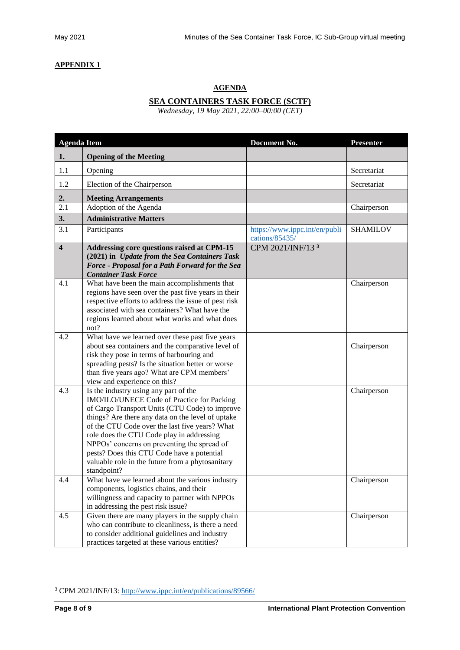#### **APPENDIX 1**

# **AGENDA**

# **SEA CONTAINERS TASK FORCE (SCTF)**

*Wednesday, 19 May 2021, 22:00–00:00 (CET)*

| <b>Agenda Item</b>      |                                                                                                                                                                                                                                                                                                                                                                                                                                                           | Document No.                                    | <b>Presenter</b> |
|-------------------------|-----------------------------------------------------------------------------------------------------------------------------------------------------------------------------------------------------------------------------------------------------------------------------------------------------------------------------------------------------------------------------------------------------------------------------------------------------------|-------------------------------------------------|------------------|
| 1.                      | <b>Opening of the Meeting</b>                                                                                                                                                                                                                                                                                                                                                                                                                             |                                                 |                  |
| 1.1                     | Opening                                                                                                                                                                                                                                                                                                                                                                                                                                                   |                                                 | Secretariat      |
| 1.2                     | Election of the Chairperson                                                                                                                                                                                                                                                                                                                                                                                                                               |                                                 | Secretariat      |
| 2.                      | <b>Meeting Arrangements</b>                                                                                                                                                                                                                                                                                                                                                                                                                               |                                                 |                  |
| $\overline{2.1}$        | Adoption of the Agenda                                                                                                                                                                                                                                                                                                                                                                                                                                    |                                                 | Chairperson      |
| 3.                      | <b>Administrative Matters</b>                                                                                                                                                                                                                                                                                                                                                                                                                             |                                                 |                  |
| 3.1                     | Participants                                                                                                                                                                                                                                                                                                                                                                                                                                              | https://www.ippc.int/en/publi<br>cations/85435/ | <b>SHAMILOV</b>  |
| $\overline{\mathbf{4}}$ | Addressing core questions raised at CPM-15<br>(2021) in Update from the Sea Containers Task<br>Force - Proposal for a Path Forward for the Sea<br><b>Container Task Force</b>                                                                                                                                                                                                                                                                             | CPM 2021/INF/13 <sup>3</sup>                    |                  |
| 4.1                     | What have been the main accomplishments that<br>regions have seen over the past five years in their<br>respective efforts to address the issue of pest risk<br>associated with sea containers? What have the<br>regions learned about what works and what does<br>not?                                                                                                                                                                                    |                                                 | Chairperson      |
| 4.2                     | What have we learned over these past five years<br>about sea containers and the comparative level of<br>risk they pose in terms of harbouring and<br>spreading pests? Is the situation better or worse<br>than five years ago? What are CPM members'<br>view and experience on this?                                                                                                                                                                      |                                                 | Chairperson      |
| 4.3                     | Is the industry using any part of the<br>IMO/ILO/UNECE Code of Practice for Packing<br>of Cargo Transport Units (CTU Code) to improve<br>things? Are there any data on the level of uptake<br>of the CTU Code over the last five years? What<br>role does the CTU Code play in addressing<br>NPPOs' concerns on preventing the spread of<br>pests? Does this CTU Code have a potential<br>valuable role in the future from a phytosanitary<br>standpoint? |                                                 | Chairperson      |
| 4.4                     | What have we learned about the various industry<br>components, logistics chains, and their<br>willingness and capacity to partner with NPPOs<br>in addressing the pest risk issue?                                                                                                                                                                                                                                                                        |                                                 | Chairperson      |
| 4.5                     | Given there are many players in the supply chain<br>who can contribute to cleanliness, is there a need<br>to consider additional guidelines and industry<br>practices targeted at these various entities?                                                                                                                                                                                                                                                 |                                                 | Chairperson      |

 $\overline{a}$ 

<sup>3</sup> CPM 2021/INF/13:<http://www.ippc.int/en/publications/89566/>